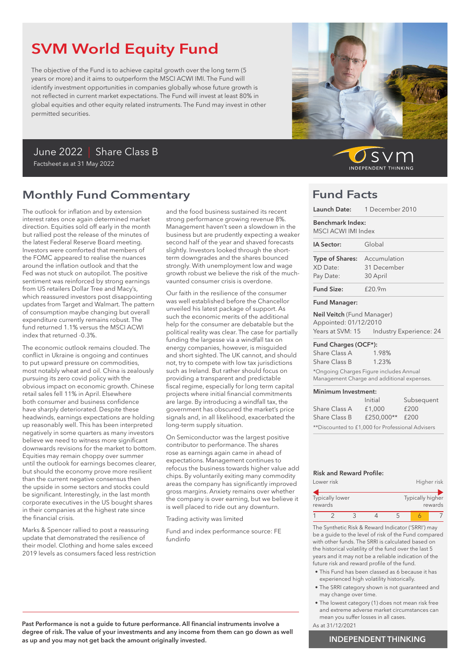# SVM World Equity Fund

The objective of the Fund is to achieve capital growth over the long term (5 years or more) and it aims to outperform the MSCI ACWI IMI. The Fund will identify investment opportunities in companies globally whose future growth is not reflected in current market expectations. The Fund will invest at least 80% in global equities and other equity related instruments. The Fund may invest in other permitted securities.

# June 2022 | Share Class B Factsheet as at 31 May 2022

# Monthly Fund Commentary

The outlook for inflation and by extension interest rates once again determined market direction. Equities sold off early in the month but rallied post the release of the minutes of the latest Federal Reserve Board meeting. Investors were comforted that members of the FOMC appeared to realise the nuances around the inflation outlook and that the Fed was not stuck on autopilot. The positive sentiment was reinforced by strong earnings from US retailers Dollar Tree and Macy's, which reassured investors post disappointing updates from Target and Walmart. The pattern of consumption maybe changing but overall expenditure currently remains robust. The fund returned 1.1% versus the MSCI ACWI index that returned -0.3%.

The economic outlook remains clouded. The conflict in Ukraine is ongoing and continues to put upward pressure on commodities, most notably wheat and oil. China is zealously pursuing its zero covid policy with the obvious impact on economic growth. Chinese retail sales fell 11% in April. Elsewhere both consumer and business confidence have sharply deteriorated. Despite these headwinds, earnings expectations are holding up reasonably well. This has been interpreted negatively in some quarters as many investors believe we need to witness more significant downwards revisions for the market to bottom. Equities may remain choppy over summer until the outlook for earnings becomes clearer, but should the economy prove more resilient than the current negative consensus then the upside in some sectors and stocks could be significant. Interestingly, in the last month corporate executives in the US bought shares in their companies at the highest rate since the financial crisis.

Marks & Spencer rallied to post a reassuring update that demonstrated the resilience of their model. Clothing and home sales exceed 2019 levels as consumers faced less restriction and the food business sustained its recent strong performance growing revenue 8%. Management haven't seen a slowdown in the business but are prudently expecting a weaker second half of the year and shaved forecasts slightly. Investors looked through the shortterm downgrades and the shares bounced strongly. With unemployment low and wage growth robust we believe the risk of the muchvaunted consumer crisis is overdone.

Our faith in the resilience of the consumer was well established before the Chancellor unveiled his latest package of support. As such the economic merits of the additional help for the consumer are debatable but the political reality was clear. The case for partially funding the largesse via a windfall tax on energy companies, however, is misguided and short sighted. The UK cannot, and should not, try to compete with low tax jurisdictions such as Ireland. But rather should focus on providing a transparent and predictable fiscal regime, especially for long term capital projects where initial financial commitments are large. By introducing a windfall tax, the government has obscured the market's price signals and, in all likelihood, exacerbated the long-term supply situation.

On Semiconductor was the largest positive contributor to performance. The shares rose as earnings again came in ahead of expectations. Management continues to refocus the business towards higher value add chips. By voluntarily exiting many commodity areas the company has significantly improved gross margins. Anxiety remains over whether the company is over earning, but we believe it is well placed to ride out any downturn.

Trading activity was limited

Fund and index performance source: FE fundinfo



) s v r **INDEPENDENT THINKING** 

# Fund Facts

| Launch Date: 1 December 2010                                                          |              |                         |
|---------------------------------------------------------------------------------------|--------------|-------------------------|
| Benchmark Index:<br>MSCI ACWI IMI Index                                               |              |                         |
| IA Sector:                                                                            | Global       |                         |
| Type of Shares:                                                                       | Accumulation |                         |
| XD Date:                                                                              | 31 December  |                         |
| Pay Date:                                                                             | 30 April     |                         |
| <b>Fund Size:</b>                                                                     | f20.9m       |                         |
| <b>Fund Manager:</b>                                                                  |              |                         |
| Neil Veitch (Fund Manager)                                                            |              |                         |
| Appointed: 01/12/2010                                                                 |              |                         |
| Years at SVM: 15                                                                      |              | Industry Experience: 24 |
| Fund Charges (OCF*):                                                                  |              |                         |
| Share Class A                                                                         | 1.98%        |                         |
| Share Class B                                                                         | $1.23\%$     |                         |
| *Ongoing Charges Figure includes Annual<br>Management Charge and additional expenses. |              |                         |
| Minimum Investment:                                                                   |              |                         |
|                                                                                       | Initial      | Subsequent              |

|                                                  | Initial    | Subsequent |  |
|--------------------------------------------------|------------|------------|--|
| Share Class A                                    | £1,000     | £200       |  |
| Share Class B                                    | £250.000** | £200       |  |
| **Discounted to £1,000 for Professional Advisers |            |            |  |

### Risk and Reward Profile:

|         | Lower risk             |  |                  | Higher risk |
|---------|------------------------|--|------------------|-------------|
| rewards | <b>Typically lower</b> |  | Typically higher | rewards     |
|         |                        |  |                  |             |

The Synthetic Risk & Reward Indicator ('SRRI') may be a guide to the level of risk of the Fund compared with other funds. The SRRI is calculated based on the historical volatility of the fund over the last 5 years and it may not be a reliable indication of the future risk and reward profile of the fund.

- This Fund has been classed as 6 because it has experienced high volatility historically.
- The SRRI category shown is not guaranteed and may change over time.
- The lowest category (1) does not mean risk free and extreme adverse market circumstances can mean you suffer losses in all cases.
- As at 31/12/2021

### Past Performance is not a guide to future performance. All financial instruments involve a degree of risk. The value of your investments and any income from them can go down as well as up and you may not get back the amount originally invested.

# INDEPENDENT THINKING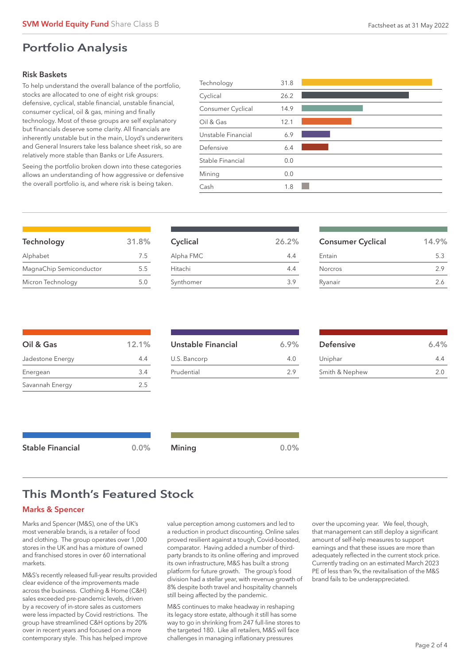# Portfolio Analysis

# Risk Baskets

To help understand the overall balance of the portfolio, stocks are allocated to one of eight risk groups: defensive, cyclical, stable financial, unstable financial, consumer cyclical, oil & gas, mining and finally technology. Most of these groups are self explanatory but financials deserve some clarity. All financials are inherently unstable but in the main, Lloyd's underwriters and General Insurers take less balance sheet risk, so are relatively more stable than Banks or Life Assurers.

Seeing the portfolio broken down into these categories allows an understanding of how aggressive or defensive the overall portfolio is, and where risk is being taken.

| Technology         | 31.8 |  |
|--------------------|------|--|
| Cyclical           | 26.2 |  |
| Consumer Cyclical  | 14.9 |  |
| Oil & Gas          | 12.1 |  |
| Unstable Financial | 6.9  |  |
| Defensive          | 6.4  |  |
| Stable Financial   | 0.0  |  |
| Mining             | 0.0  |  |
| Cash               | 1.8  |  |
|                    |      |  |

| Technology              | 31.8% |
|-------------------------|-------|
| Alphabet                | 7.5   |
| MagnaChip Semiconductor | 55    |
| Micron Technology       | 5.0   |

| Cyclical  | 26.2% |
|-----------|-------|
| Alpha FMC | 4.4   |
| Hitachi   | 4.4   |
| Synthomer | 39    |

| <b>Consumer Cyclical</b> | 14.9% |
|--------------------------|-------|
| Entain                   | 5.3   |
| Norcros                  | 29    |
| Ryanair                  | 2.6   |
|                          |       |

| Oil & Gas        | 12.1% |
|------------------|-------|
| Jadestone Energy | 4.4   |
| Energean         | 3.4   |
| Savannah Energy  | 2.5   |

| Unstable Financial | 6.9% |
|--------------------|------|
| U.S. Bancorp       | 40   |
| Prudential         | 29   |

| <b>Defensive</b> | 6.4% |
|------------------|------|
| Uniphar          | 44   |
| Smith & Nephew   | 2.0  |

| Stable Financial | $0.0\%$ | <b>Mining</b> | 0.0% |
|------------------|---------|---------------|------|
|                  |         |               |      |

# This Month's Featured Stock

# Marks & Spencer

Marks and Spencer (M&S), one of the UK's most venerable brands, is a retailer of food and clothing. The group operates over 1,000 stores in the UK and has a mixture of owned and franchised stores in over 60 international markets.

M&S's recently released full-year results provided clear evidence of the improvements made across the business. Clothing & Home (C&H) sales exceeded pre-pandemic levels, driven by a recovery of in-store sales as customers were less impacted by Covid restrictions. The group have streamlined C&H options by 20% over in recent years and focused on a more contemporary style. This has helped improve

value perception among customers and led to a reduction in product discounting. Online sales proved resilient against a tough, Covid-boosted, comparator. Having added a number of thirdparty brands to its online offering and improved its own infrastructure, M&S has built a strong platform for future growth. The group's food division had a stellar year, with revenue growth of 8% despite both travel and hospitality channels still being affected by the pandemic.

M&S continues to make headway in reshaping its legacy store estate, although it still has some way to go in shrinking from 247 full-line stores to the targeted 180. Like all retailers, M&S will face challenges in managing inflationary pressures

over the upcoming year. We feel, though, that management can still deploy a significant amount of self-help measures to support earnings and that these issues are more than adequately reflected in the current stock price. Currently trading on an estimated March 2023 PE of less than 9x, the revitalisation of the M&S brand fails to be underappreciated.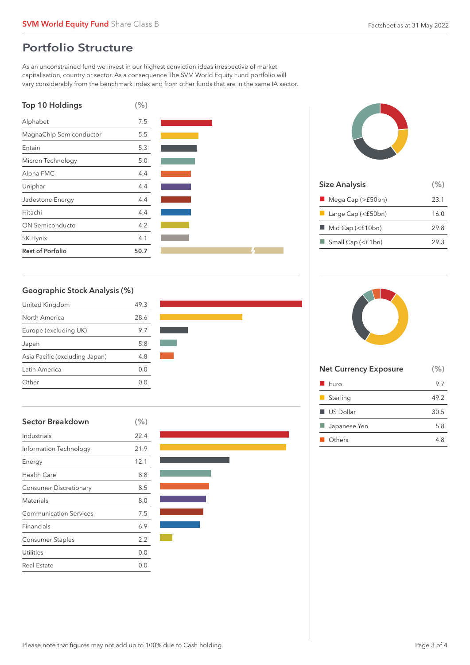# Portfolio Structure

As an unconstrained fund we invest in our highest conviction ideas irrespective of market capitalisation, country or sector. As a consequence The SVM World Equity Fund portfolio will vary considerably from the benchmark index and from other funds that are in the same IA sector.







| <b>Size Analysis</b>              | (% ) |
|-----------------------------------|------|
| $\blacksquare$ Mega Cap (>£50bn)  | 23.1 |
| $\blacksquare$ Large Cap (<£50bn) | 16.0 |
| Mid Cap (<£10bn)                  | 29.8 |
| $\Box$ Small Cap (<£1bn)          | 29.3 |
|                                   |      |

# Geographic Stock Analysis (%)

| United Kingdom                 | 49.3    |
|--------------------------------|---------|
| North America                  | 28.6    |
| Europe (excluding UK)          | 9.7     |
| Japan                          | 5.8     |
| Asia Pacific (excluding Japan) | 4.8     |
| Latin America                  | O.O     |
| Other                          | ( ) ( ) |



| <b>Sector Breakdown</b>       | (% ) |
|-------------------------------|------|
| Industrials                   | 22.4 |
| Information Technology        | 21.9 |
| Energy                        | 12.1 |
| <b>Health Care</b>            | 8.8  |
| <b>Consumer Discretionary</b> | 8.5  |
| <b>Materials</b>              | 8.0  |
| <b>Communication Services</b> | 7.5  |
| Financials                    | 6.9  |
| <b>Consumer Staples</b>       | 2.2  |
| Utilities                     | 0.0  |
| <b>Real Estate</b>            | 0.0  |





| <b>Net Currency Exposure</b> | (% ) |
|------------------------------|------|
| Furo                         | 9.7  |
| $\blacksquare$ Sterling      | 49.2 |
| $\blacksquare$ US Dollar     | 30.5 |
| Japanese Yen                 | 5.8  |
| Others                       | 4.8  |
|                              |      |